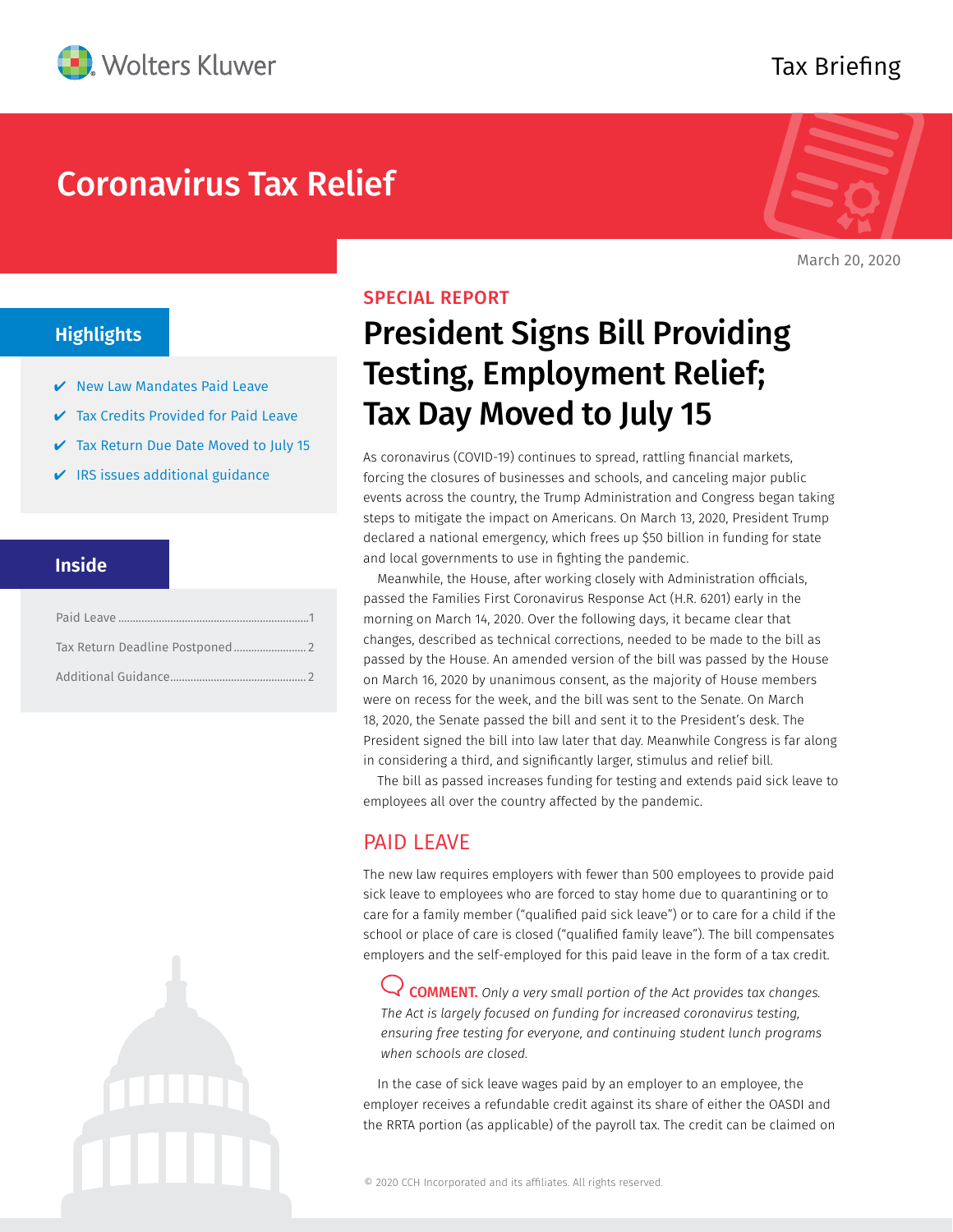

# Coronavirus Tax Relief



Tax Briefing

March 20, 2020

## **Highlights**

- $\vee$  New Law Mandates Paid Leave
- **Tax Credits Provided for Paid Leave**
- **✓** Tax Return Due Date Moved to July 15
- $\vee$  IRS issues additional guidance

#### **Inside**



#### SPECIAL REPORT

# President Signs Bill Providing Testing, Employment Relief; Tax Day Moved to July 15

As coronavirus (COVID-19) continues to spread, rattling financial markets, forcing the closures of businesses and schools, and canceling major public events across the country, the Trump Administration and Congress began taking steps to mitigate the impact on Americans. On March 13, 2020, President Trump declared a national emergency, which frees up \$50 billion in funding for state and local governments to use in fighting the pandemic.

Meanwhile, the House, after working closely with Administration officials, passed the Families First Coronavirus Response Act (H.R. 6201) early in the morning on March 14, 2020. Over the following days, it became clear that changes, described as technical corrections, needed to be made to the bill as passed by the House. An amended version of the bill was passed by the House on March 16, 2020 by unanimous consent, as the majority of House members were on recess for the week, and the bill was sent to the Senate. On March 18, 2020, the Senate passed the bill and sent it to the President's desk. The President signed the bill into law later that day. Meanwhile Congress is far along in considering a third, and significantly larger, stimulus and relief bill.

The bill as passed increases funding for testing and extends paid sick leave to employees all over the country affected by the pandemic.

### PAID LEAVE

The new law requires employers with fewer than 500 employees to provide paid sick leave to employees who are forced to stay home due to quarantining or to care for a family member ("qualified paid sick leave") or to care for a child if the school or place of care is closed ("qualified family leave"). The bill compensates employers and the self-employed for this paid leave in the form of a tax credit.

COMMENT. *Only a very small portion of the Act provides tax changes. The Act is largely focused on funding for increased coronavirus testing, ensuring free testing for everyone, and continuing student lunch programs when schools are closed.*

In the case of sick leave wages paid by an employer to an employee, the employer receives a refundable credit against its share of either the OASDI and the RRTA portion (as applicable) of the payroll tax. The credit can be claimed on